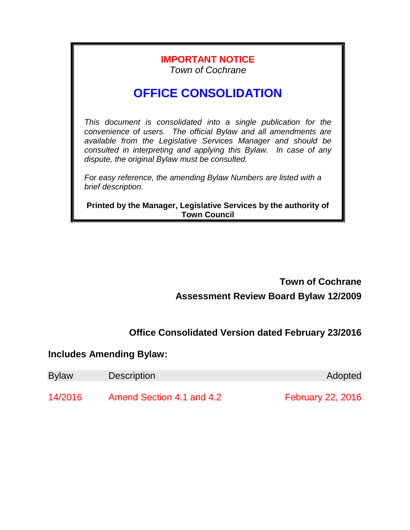#### **IMPORTANT NOTICE** *Town of Cochrane*

# **OFFICE CONSOLIDATION**

*This document is consolidated into a single publication for the convenience of users. The official Bylaw and all amendments are available from the Legislative Services Manager and should be consulted in interpreting and applying this Bylaw. In case of any dispute, the original Bylaw must be consulted.*

*For easy reference, the amending Bylaw Numbers are listed with a brief description.*

**Printed by the Manager, Legislative Services by the authority of Town Council**

## **Town of Cochrane Assessment Review Board Bylaw 12/2009**

## **Office Consolidated Version dated February 23/2016**

### **Includes Amending Bylaw:**

| <b>Bylaw</b> | <b>Description</b>        | Adopted                  |
|--------------|---------------------------|--------------------------|
| 14/2016      | Amend Section 4.1 and 4.2 | <b>February 22, 2016</b> |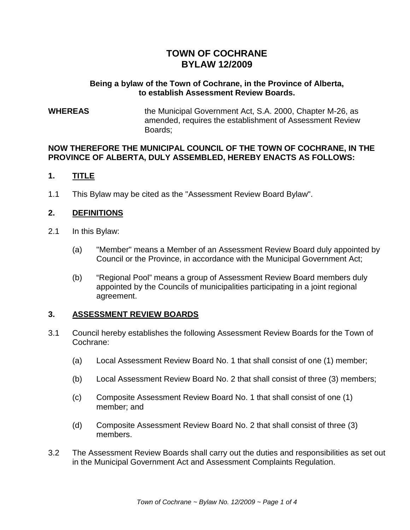## **TOWN OF COCHRANE BYLAW 12/2009**

#### **Being a bylaw of the Town of Cochrane, in the Province of Alberta, to establish Assessment Review Boards.**

#### **WHEREAS** the Municipal Government Act, S.A. 2000, Chapter M-26, as amended, requires the establishment of Assessment Review Boards;

#### **NOW THEREFORE THE MUNICIPAL COUNCIL OF THE TOWN OF COCHRANE, IN THE PROVINCE OF ALBERTA, DULY ASSEMBLED, HEREBY ENACTS AS FOLLOWS:**

#### **1. TITLE**

1.1 This Bylaw may be cited as the "Assessment Review Board Bylaw".

#### **2. DEFINITIONS**

- 2.1 In this Bylaw:
	- (a) "Member" means a Member of an Assessment Review Board duly appointed by Council or the Province, in accordance with the Municipal Government Act;
	- (b) "Regional Pool" means a group of Assessment Review Board members duly appointed by the Councils of municipalities participating in a joint regional agreement.

#### **3. ASSESSMENT REVIEW BOARDS**

- 3.1 Council hereby establishes the following Assessment Review Boards for the Town of Cochrane:
	- (a) Local Assessment Review Board No. 1 that shall consist of one (1) member;
	- (b) Local Assessment Review Board No. 2 that shall consist of three (3) members;
	- (c) Composite Assessment Review Board No. 1 that shall consist of one (1) member; and
	- (d) Composite Assessment Review Board No. 2 that shall consist of three (3) members.
- 3.2 The Assessment Review Boards shall carry out the duties and responsibilities as set out in the Municipal Government Act and Assessment Complaints Regulation.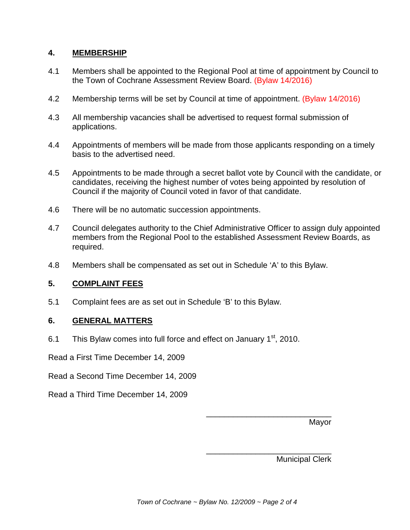#### **4. MEMBERSHIP**

- 4.1 Members shall be appointed to the Regional Pool at time of appointment by Council to the Town of Cochrane Assessment Review Board. (Bylaw 14/2016)
- 4.2 Membership terms will be set by Council at time of appointment. (Bylaw 14/2016)
- 4.3 All membership vacancies shall be advertised to request formal submission of applications.
- 4.4 Appointments of members will be made from those applicants responding on a timely basis to the advertised need.
- 4.5 Appointments to be made through a secret ballot vote by Council with the candidate, or candidates, receiving the highest number of votes being appointed by resolution of Council if the majority of Council voted in favor of that candidate.
- 4.6 There will be no automatic succession appointments.
- 4.7 Council delegates authority to the Chief Administrative Officer to assign duly appointed members from the Regional Pool to the established Assessment Review Boards, as required.
- 4.8 Members shall be compensated as set out in Schedule 'A' to this Bylaw.

#### **5. COMPLAINT FEES**

5.1 Complaint fees are as set out in Schedule 'B' to this Bylaw.

#### **6. GENERAL MATTERS**

6.1 This Bylaw comes into full force and effect on January  $1<sup>st</sup>$ , 2010.

Read a First Time December 14, 2009

Read a Second Time December 14, 2009

Read a Third Time December 14, 2009

Mayor

\_\_\_\_\_\_\_\_\_\_\_\_\_\_\_\_\_\_\_\_\_\_\_\_\_\_\_\_ Municipal Clerk

\_\_\_\_\_\_\_\_\_\_\_\_\_\_\_\_\_\_\_\_\_\_\_\_\_\_\_\_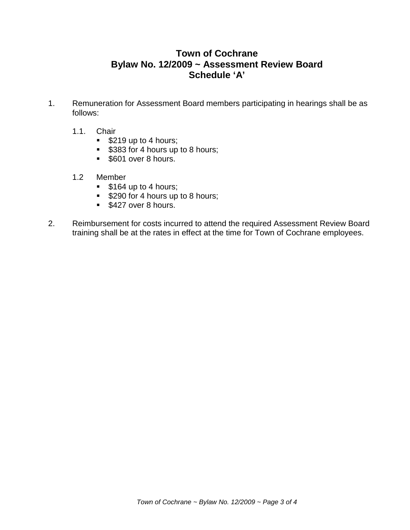## **Town of Cochrane Bylaw No. 12/2009 ~ Assessment Review Board Schedule 'A'**

- 1. Remuneration for Assessment Board members participating in hearings shall be as follows:
	- 1.1. Chair
		- $\bullet$  \$219 up to 4 hours;
		- **\$383 for 4 hours up to 8 hours;**
		- $\overline{\phantom{0}}$  \$601 over 8 hours.
	- 1.2 Member
		- $\bullet$  \$164 up to 4 hours;
		- **\$290 for 4 hours up to 8 hours;**
		- **\$427 over 8 hours.**
- 2. Reimbursement for costs incurred to attend the required Assessment Review Board training shall be at the rates in effect at the time for Town of Cochrane employees.